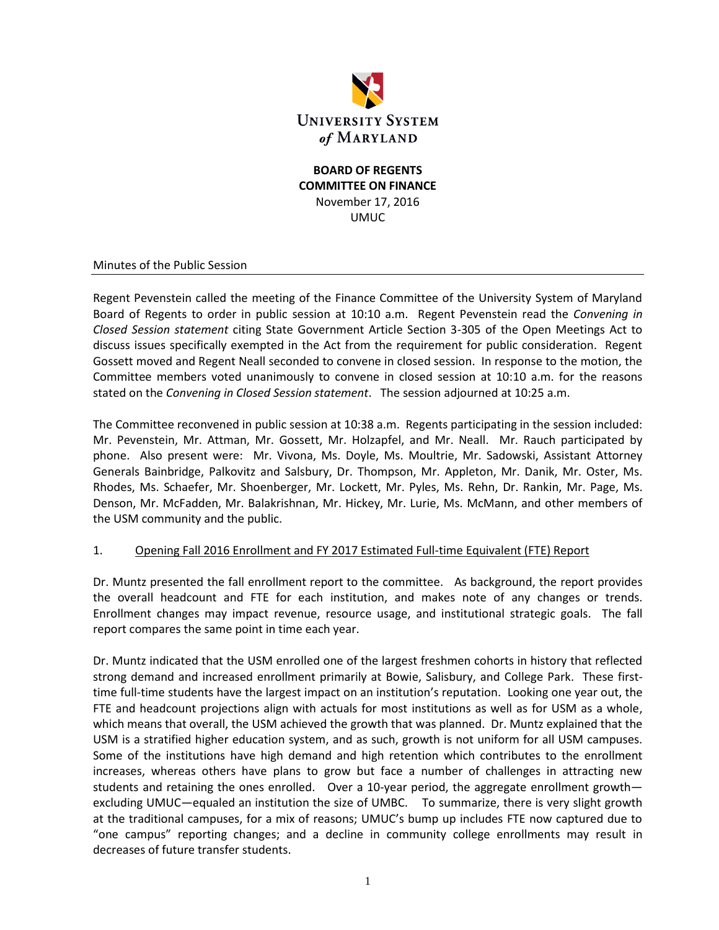

#### **BOARD OF REGENTS COMMITTEE ON FINANCE** November 17, 2016 UMUC

#### Minutes of the Public Session

Regent Pevenstein called the meeting of the Finance Committee of the University System of Maryland Board of Regents to order in public session at 10:10 a.m. Regent Pevenstein read the *Convening in Closed Session statement* citing State Government Article Section 3-305 of the Open Meetings Act to discuss issues specifically exempted in the Act from the requirement for public consideration. Regent Gossett moved and Regent Neall seconded to convene in closed session. In response to the motion, the Committee members voted unanimously to convene in closed session at 10:10 a.m. for the reasons stated on the *Convening in Closed Session statement*. The session adjourned at 10:25 a.m.

The Committee reconvened in public session at 10:38 a.m. Regents participating in the session included: Mr. Pevenstein, Mr. Attman, Mr. Gossett, Mr. Holzapfel, and Mr. Neall. Mr. Rauch participated by phone. Also present were: Mr. Vivona, Ms. Doyle, Ms. Moultrie, Mr. Sadowski, Assistant Attorney Generals Bainbridge, Palkovitz and Salsbury, Dr. Thompson, Mr. Appleton, Mr. Danik, Mr. Oster, Ms. Rhodes, Ms. Schaefer, Mr. Shoenberger, Mr. Lockett, Mr. Pyles, Ms. Rehn, Dr. Rankin, Mr. Page, Ms. Denson, Mr. McFadden, Mr. Balakrishnan, Mr. Hickey, Mr. Lurie, Ms. McMann, and other members of the USM community and the public.

#### 1. Opening Fall 2016 Enrollment and FY 2017 Estimated Full-time Equivalent (FTE) Report

Dr. Muntz presented the fall enrollment report to the committee. As background, the report provides the overall headcount and FTE for each institution, and makes note of any changes or trends. Enrollment changes may impact revenue, resource usage, and institutional strategic goals. The fall report compares the same point in time each year.

Dr. Muntz indicated that the USM enrolled one of the largest freshmen cohorts in history that reflected strong demand and increased enrollment primarily at Bowie, Salisbury, and College Park. These firsttime full-time students have the largest impact on an institution's reputation. Looking one year out, the FTE and headcount projections align with actuals for most institutions as well as for USM as a whole, which means that overall, the USM achieved the growth that was planned. Dr. Muntz explained that the USM is a stratified higher education system, and as such, growth is not uniform for all USM campuses. Some of the institutions have high demand and high retention which contributes to the enrollment increases, whereas others have plans to grow but face a number of challenges in attracting new students and retaining the ones enrolled. Over a 10-year period, the aggregate enrollment growthexcluding UMUC—equaled an institution the size of UMBC. To summarize, there is very slight growth at the traditional campuses, for a mix of reasons; UMUC's bump up includes FTE now captured due to "one campus" reporting changes; and a decline in community college enrollments may result in decreases of future transfer students.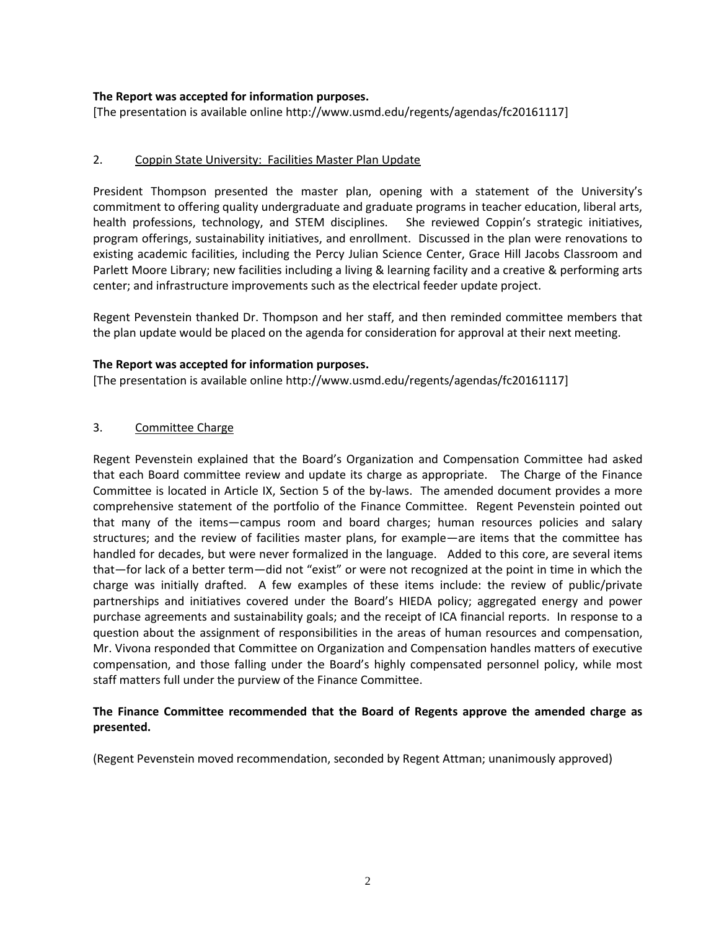#### **The Report was accepted for information purposes.**

[The presentation is available online http://www.usmd.edu/regents/agendas/fc20161117]

#### 2. Coppin State University: Facilities Master Plan Update

President Thompson presented the master plan, opening with a statement of the University's commitment to offering quality undergraduate and graduate programs in teacher education, liberal arts, health professions, technology, and STEM disciplines. She reviewed Coppin's strategic initiatives, program offerings, sustainability initiatives, and enrollment. Discussed in the plan were renovations to existing academic facilities, including the Percy Julian Science Center, Grace Hill Jacobs Classroom and Parlett Moore Library; new facilities including a living & learning facility and a creative & performing arts center; and infrastructure improvements such as the electrical feeder update project.

Regent Pevenstein thanked Dr. Thompson and her staff, and then reminded committee members that the plan update would be placed on the agenda for consideration for approval at their next meeting.

#### **The Report was accepted for information purposes.**

[The presentation is available online http://www.usmd.edu/regents/agendas/fc20161117]

#### 3. Committee Charge

Regent Pevenstein explained that the Board's Organization and Compensation Committee had asked that each Board committee review and update its charge as appropriate. The Charge of the Finance Committee is located in Article IX, Section 5 of the by-laws. The amended document provides a more comprehensive statement of the portfolio of the Finance Committee. Regent Pevenstein pointed out that many of the items—campus room and board charges; human resources policies and salary structures; and the review of facilities master plans, for example—are items that the committee has handled for decades, but were never formalized in the language. Added to this core, are several items that—for lack of a better term—did not "exist" or were not recognized at the point in time in which the charge was initially drafted. A few examples of these items include: the review of public/private partnerships and initiatives covered under the Board's HIEDA policy; aggregated energy and power purchase agreements and sustainability goals; and the receipt of ICA financial reports. In response to a question about the assignment of responsibilities in the areas of human resources and compensation, Mr. Vivona responded that Committee on Organization and Compensation handles matters of executive compensation, and those falling under the Board's highly compensated personnel policy, while most staff matters full under the purview of the Finance Committee.

#### **The Finance Committee recommended that the Board of Regents approve the amended charge as presented.**

(Regent Pevenstein moved recommendation, seconded by Regent Attman; unanimously approved)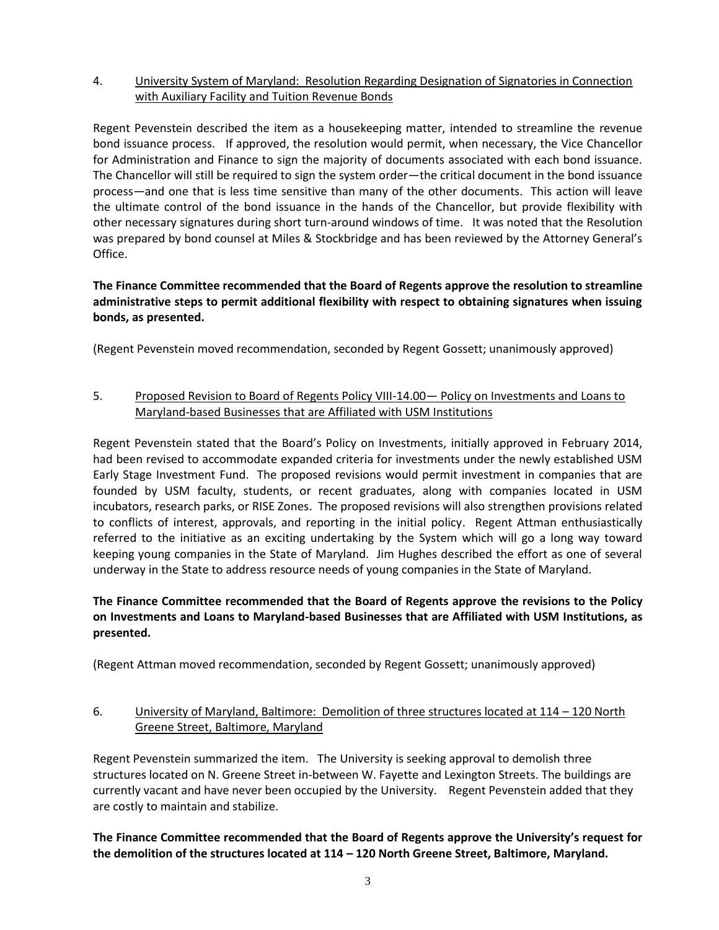# 4. University System of Maryland: Resolution Regarding Designation of Signatories in Connection with Auxiliary Facility and Tuition Revenue Bonds

Regent Pevenstein described the item as a housekeeping matter, intended to streamline the revenue bond issuance process. If approved, the resolution would permit, when necessary, the Vice Chancellor for Administration and Finance to sign the majority of documents associated with each bond issuance. The Chancellor will still be required to sign the system order—the critical document in the bond issuance process—and one that is less time sensitive than many of the other documents. This action will leave the ultimate control of the bond issuance in the hands of the Chancellor, but provide flexibility with other necessary signatures during short turn-around windows of time. It was noted that the Resolution was prepared by bond counsel at Miles & Stockbridge and has been reviewed by the Attorney General's Office.

# **The Finance Committee recommended that the Board of Regents approve the resolution to streamline administrative steps to permit additional flexibility with respect to obtaining signatures when issuing bonds, as presented.**

(Regent Pevenstein moved recommendation, seconded by Regent Gossett; unanimously approved)

### 5. Proposed Revision to Board of Regents Policy VIII-14.00— Policy on Investments and Loans to Maryland-based Businesses that are Affiliated with USM Institutions

Regent Pevenstein stated that the Board's Policy on Investments, initially approved in February 2014, had been revised to accommodate expanded criteria for investments under the newly established USM Early Stage Investment Fund. The proposed revisions would permit investment in companies that are founded by USM faculty, students, or recent graduates, along with companies located in USM incubators, research parks, or RISE Zones. The proposed revisions will also strengthen provisions related to conflicts of interest, approvals, and reporting in the initial policy. Regent Attman enthusiastically referred to the initiative as an exciting undertaking by the System which will go a long way toward keeping young companies in the State of Maryland. Jim Hughes described the effort as one of several underway in the State to address resource needs of young companies in the State of Maryland.

# **The Finance Committee recommended that the Board of Regents approve the revisions to the Policy on Investments and Loans to Maryland-based Businesses that are Affiliated with USM Institutions, as presented.**

(Regent Attman moved recommendation, seconded by Regent Gossett; unanimously approved)

# 6. University of Maryland, Baltimore: Demolition of three structures located at 114 – 120 North Greene Street, Baltimore, Maryland

Regent Pevenstein summarized the item. The University is seeking approval to demolish three structures located on N. Greene Street in-between W. Fayette and Lexington Streets. The buildings are currently vacant and have never been occupied by the University. Regent Pevenstein added that they are costly to maintain and stabilize.

**The Finance Committee recommended that the Board of Regents approve the University's request for the demolition of the structures located at 114 – 120 North Greene Street, Baltimore, Maryland.**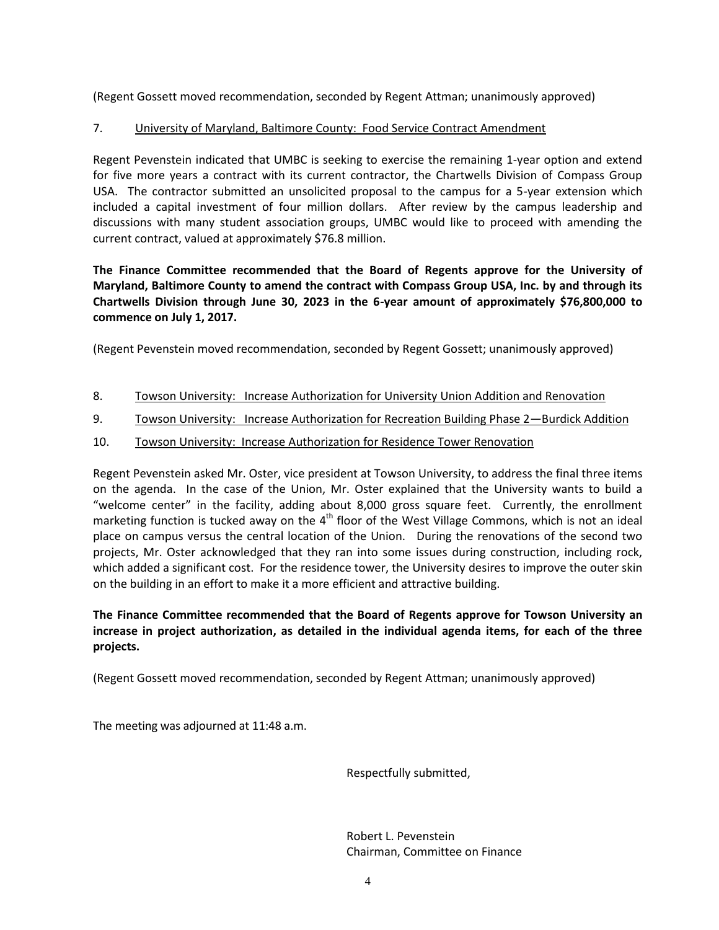(Regent Gossett moved recommendation, seconded by Regent Attman; unanimously approved)

### 7. University of Maryland, Baltimore County: Food Service Contract Amendment

Regent Pevenstein indicated that UMBC is seeking to exercise the remaining 1-year option and extend for five more years a contract with its current contractor, the Chartwells Division of Compass Group USA. The contractor submitted an unsolicited proposal to the campus for a 5-year extension which included a capital investment of four million dollars. After review by the campus leadership and discussions with many student association groups, UMBC would like to proceed with amending the current contract, valued at approximately \$76.8 million.

# **The Finance Committee recommended that the Board of Regents approve for the University of Maryland, Baltimore County to amend the contract with Compass Group USA, Inc. by and through its Chartwells Division through June 30, 2023 in the 6-year amount of approximately \$76,800,000 to commence on July 1, 2017.**

(Regent Pevenstein moved recommendation, seconded by Regent Gossett; unanimously approved)

- 8. Towson University: Increase Authorization for University Union Addition and Renovation
- 9. Towson University: Increase Authorization for Recreation Building Phase 2-Burdick Addition
- 10. Towson University: Increase Authorization for Residence Tower Renovation

Regent Pevenstein asked Mr. Oster, vice president at Towson University, to address the final three items on the agenda. In the case of the Union, Mr. Oster explained that the University wants to build a "welcome center" in the facility, adding about 8,000 gross square feet. Currently, the enrollment marketing function is tucked away on the 4<sup>th</sup> floor of the West Village Commons, which is not an ideal place on campus versus the central location of the Union. During the renovations of the second two projects, Mr. Oster acknowledged that they ran into some issues during construction, including rock, which added a significant cost. For the residence tower, the University desires to improve the outer skin on the building in an effort to make it a more efficient and attractive building.

**The Finance Committee recommended that the Board of Regents approve for Towson University an increase in project authorization, as detailed in the individual agenda items, for each of the three projects.**

(Regent Gossett moved recommendation, seconded by Regent Attman; unanimously approved)

The meeting was adjourned at 11:48 a.m.

Respectfully submitted,

Robert L. Pevenstein Chairman, Committee on Finance